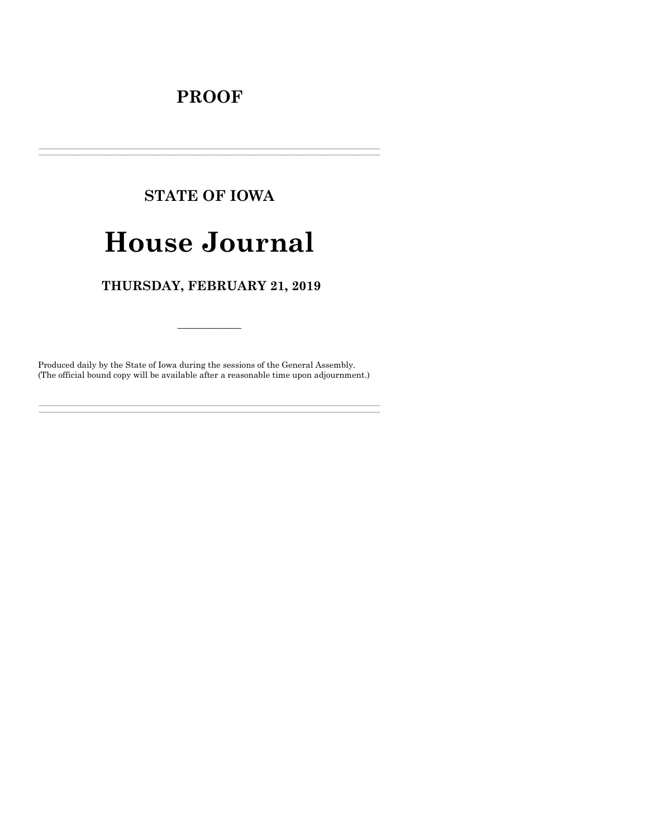# **PROOF**

# **STATE OF IOWA**

# **House Journal**

# THURSDAY, FEBRUARY 21, 2019

Produced daily by the State of Iowa during the sessions of the General Assembly. (The official bound copy will be available after a reasonable time upon adjournment.)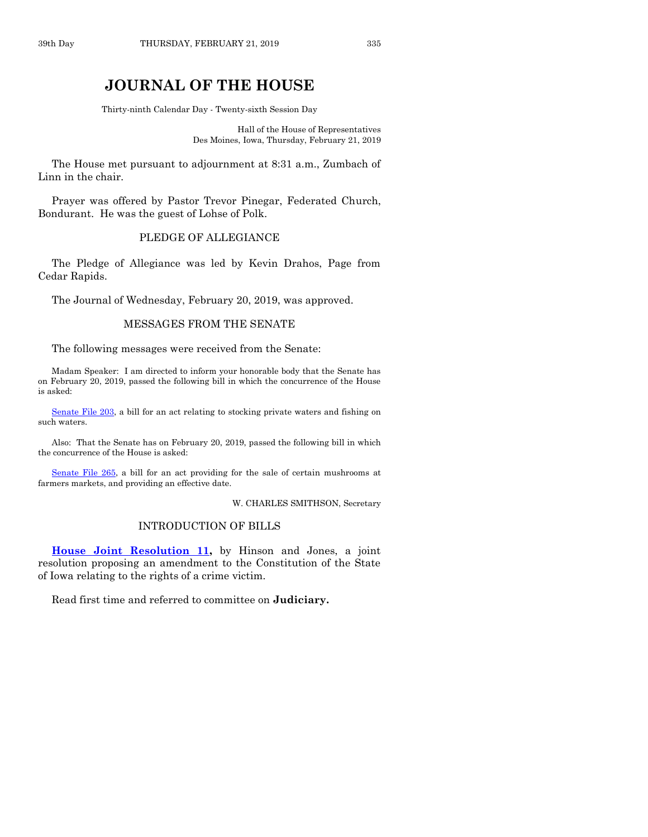# **JOURNAL OF THE HOUSE**

Thirty-ninth Calendar Day - Twenty-sixth Session Day

Hall of the House of Representatives Des Moines, Iowa, Thursday, February 21, 2019

The House met pursuant to adjournment at 8:31 a.m., Zumbach of Linn in the chair.

Prayer was offered by Pastor Trevor Pinegar, Federated Church, Bondurant. He was the guest of Lohse of Polk.

# PLEDGE OF ALLEGIANCE

The Pledge of Allegiance was led by Kevin Drahos, Page from Cedar Rapids.

The Journal of Wednesday, February 20, 2019, was approved.

#### MESSAGES FROM THE SENATE

The following messages were received from the Senate:

Madam Speaker: I am directed to inform your honorable body that the Senate has on February 20, 2019, passed the following bill in which the concurrence of the House is asked:

[Senate File 203,](https://www.legis.iowa.gov/legislation/BillBook?ga=88&ba=SF203) a bill for an act relating to stocking private waters and fishing on such waters.

Also: That the Senate has on February 20, 2019, passed the following bill in which the concurrence of the House is asked:

[Senate File 265,](https://www.legis.iowa.gov/legislation/BillBook?ga=88&ba=SF265) a bill for an act providing for the sale of certain mushrooms at farmers markets, and providing an effective date.

W. CHARLES SMITHSON, Secretary

#### INTRODUCTION OF BILLS

**[House Joint Resolution 11,](https://www.legis.iowa.gov/legislation/BillBook?ga=88&ba=HJR11)** by Hinson and Jones, a joint resolution proposing an amendment to the Constitution of the State of Iowa relating to the rights of a crime victim.

Read first time and referred to committee on **Judiciary.**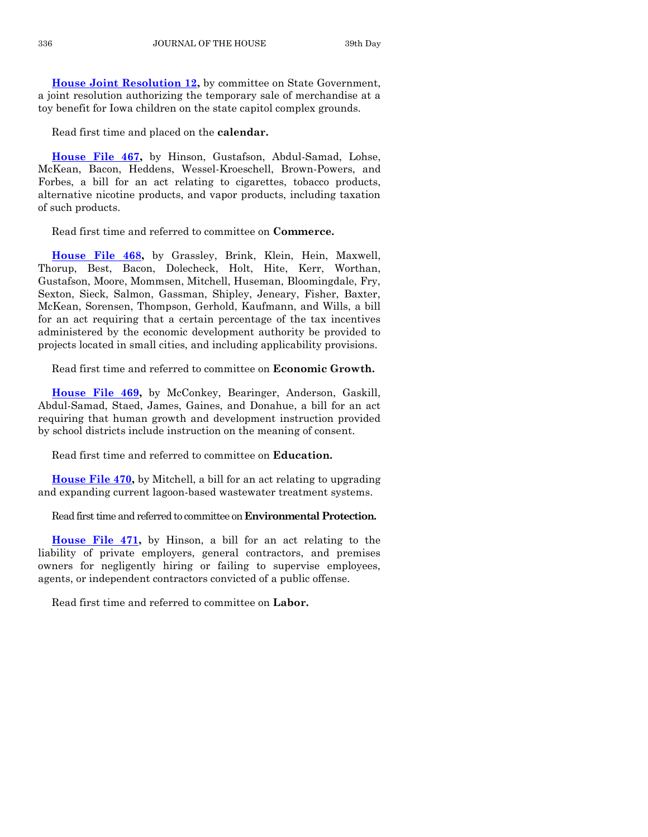**[House Joint Resolution 12,](https://www.legis.iowa.gov/legislation/BillBook?ga=88&ba=HJR12)** by committee on State Government, a joint resolution authorizing the temporary sale of merchandise at a toy benefit for Iowa children on the state capitol complex grounds.

Read first time and placed on the **calendar.**

**[House File 467,](https://www.legis.iowa.gov/legislation/BillBook?ga=88&ba=HF467)** by Hinson, Gustafson, Abdul-Samad, Lohse, McKean, Bacon, Heddens, Wessel-Kroeschell, Brown-Powers, and Forbes, a bill for an act relating to cigarettes, tobacco products, alternative nicotine products, and vapor products, including taxation of such products.

Read first time and referred to committee on **Commerce.**

**[House File 468,](https://www.legis.iowa.gov/legislation/BillBook?ga=88&ba=HF468)** by Grassley, Brink, Klein, Hein, Maxwell, Thorup, Best, Bacon, Dolecheck, Holt, Hite, Kerr, Worthan, Gustafson, Moore, Mommsen, Mitchell, Huseman, Bloomingdale, Fry, Sexton, Sieck, Salmon, Gassman, Shipley, Jeneary, Fisher, Baxter, McKean, Sorensen, Thompson, Gerhold, Kaufmann, and Wills, a bill for an act requiring that a certain percentage of the tax incentives administered by the economic development authority be provided to projects located in small cities, and including applicability provisions.

Read first time and referred to committee on **Economic Growth.**

**[House File 469,](https://www.legis.iowa.gov/legislation/BillBook?ga=88&ba=HF469)** by McConkey, Bearinger, Anderson, Gaskill, Abdul-Samad, Staed, James, Gaines, and Donahue, a bill for an act requiring that human growth and development instruction provided by school districts include instruction on the meaning of consent.

Read first time and referred to committee on **Education.**

**[House File 470,](https://www.legis.iowa.gov/legislation/BillBook?ga=88&ba=HF470)** by Mitchell, a bill for an act relating to upgrading and expanding current lagoon-based wastewater treatment systems.

Read first time and referred to committee on **Environmental Protection.**

**[House File 471,](https://www.legis.iowa.gov/legislation/BillBook?ga=88&ba=HF471)** by Hinson, a bill for an act relating to the liability of private employers, general contractors, and premises owners for negligently hiring or failing to supervise employees, agents, or independent contractors convicted of a public offense.

Read first time and referred to committee on **Labor.**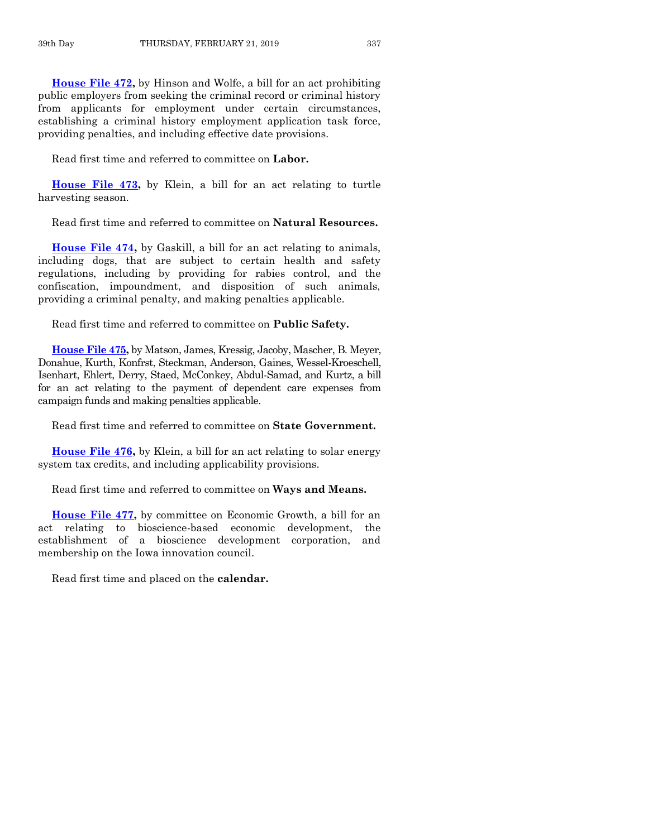**[House File 472,](https://www.legis.iowa.gov/legislation/BillBook?ga=88&ba=HF472)** by Hinson and Wolfe, a bill for an act prohibiting public employers from seeking the criminal record or criminal history from applicants for employment under certain circumstances, establishing a criminal history employment application task force, providing penalties, and including effective date provisions.

Read first time and referred to committee on **Labor.**

**[House File 473,](https://www.legis.iowa.gov/legislation/BillBook?ga=88&ba=HF473)** by Klein, a bill for an act relating to turtle harvesting season.

Read first time and referred to committee on **Natural Resources.**

**[House File 474,](https://www.legis.iowa.gov/legislation/BillBook?ga=88&ba=HF474)** by Gaskill, a bill for an act relating to animals, including dogs, that are subject to certain health and safety regulations, including by providing for rabies control, and the confiscation, impoundment, and disposition of such animals, providing a criminal penalty, and making penalties applicable.

Read first time and referred to committee on **Public Safety.**

**[House File 475,](https://www.legis.iowa.gov/legislation/BillBook?ga=88&ba=HF475)** by Matson, James, Kressig, Jacoby, Mascher, B. Meyer, Donahue, Kurth, Konfrst, Steckman, Anderson, Gaines, Wessel-Kroeschell, Isenhart, Ehlert, Derry, Staed, McConkey, Abdul-Samad, and Kurtz, a bill for an act relating to the payment of dependent care expenses from campaign funds and making penalties applicable.

Read first time and referred to committee on **State Government.**

**[House File 476,](https://www.legis.iowa.gov/legislation/BillBook?ga=88&ba=HF476)** by Klein, a bill for an act relating to solar energy system tax credits, and including applicability provisions.

Read first time and referred to committee on **Ways and Means.**

**[House File 477,](https://www.legis.iowa.gov/legislation/BillBook?ga=88&ba=HF477)** by committee on Economic Growth, a bill for an act relating to bioscience-based economic development, the establishment of a bioscience development corporation, and membership on the Iowa innovation council.

Read first time and placed on the **calendar.**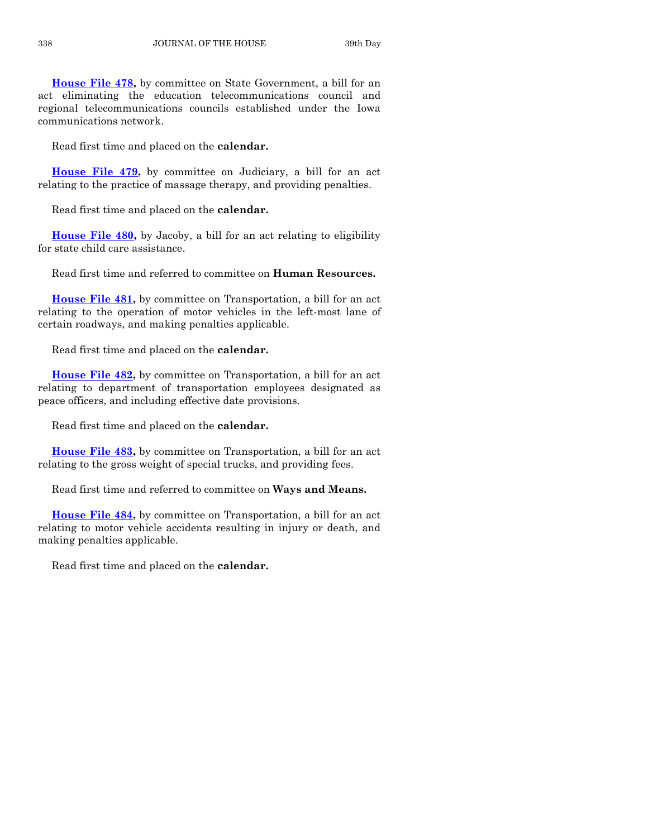**[House File 478,](https://www.legis.iowa.gov/legislation/BillBook?ga=88&ba=HF478)** by committee on State Government, a bill for an act eliminating the education telecommunications council and regional telecommunications councils established under the Iowa communications network.

Read first time and placed on the **calendar.**

**[House File 479,](https://www.legis.iowa.gov/legislation/BillBook?ga=88&ba=HF479)** by committee on Judiciary, a bill for an act relating to the practice of massage therapy, and providing penalties.

Read first time and placed on the **calendar.**

**[House File 480,](https://www.legis.iowa.gov/legislation/BillBook?ga=88&ba=HF480)** by Jacoby, a bill for an act relating to eligibility for state child care assistance.

Read first time and referred to committee on **Human Resources.**

**[House File 481,](https://www.legis.iowa.gov/legislation/BillBook?ga=88&ba=HF481)** by committee on Transportation, a bill for an act relating to the operation of motor vehicles in the left-most lane of certain roadways, and making penalties applicable.

Read first time and placed on the **calendar.**

**[House File 482,](https://www.legis.iowa.gov/legislation/BillBook?ga=88&ba=HF482)** by committee on Transportation, a bill for an act relating to department of transportation employees designated as peace officers, and including effective date provisions.

Read first time and placed on the **calendar.**

**[House File 483,](https://www.legis.iowa.gov/legislation/BillBook?ga=88&ba=HF483)** by committee on Transportation, a bill for an act relating to the gross weight of special trucks, and providing fees.

Read first time and referred to committee on **Ways and Means.**

**[House File 484,](https://www.legis.iowa.gov/legislation/BillBook?ga=88&ba=HF484)** by committee on Transportation, a bill for an act relating to motor vehicle accidents resulting in injury or death, and making penalties applicable.

Read first time and placed on the **calendar.**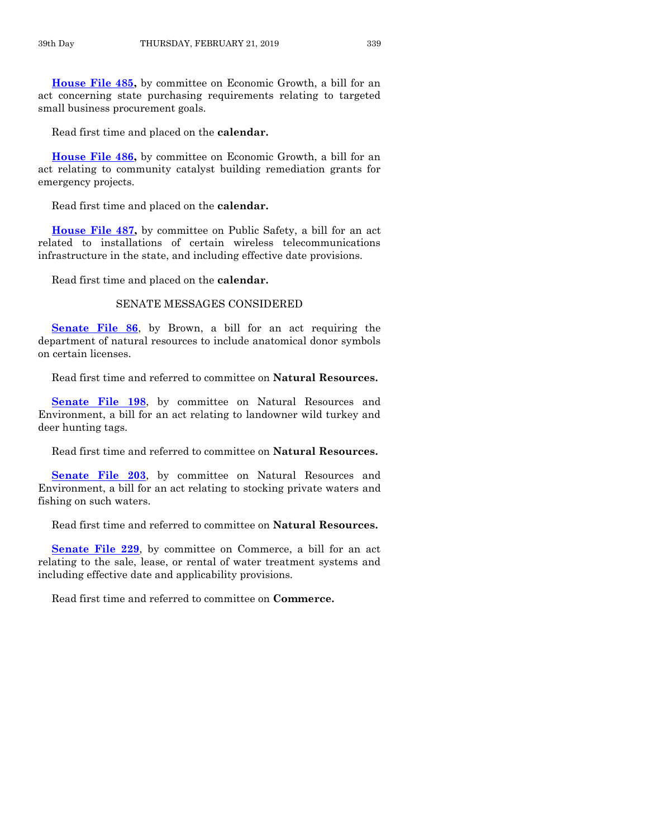**[House File 485,](https://www.legis.iowa.gov/legislation/BillBook?ga=88&ba=HF485)** by committee on Economic Growth, a bill for an act concerning state purchasing requirements relating to targeted small business procurement goals.

Read first time and placed on the **calendar.**

**[House File 486,](https://www.legis.iowa.gov/legislation/BillBook?ga=88&ba=HF486)** by committee on Economic Growth, a bill for an act relating to community catalyst building remediation grants for emergency projects.

Read first time and placed on the **calendar.**

**[House File 487,](https://www.legis.iowa.gov/legislation/BillBook?ga=88&ba=HF487)** by committee on Public Safety, a bill for an act related to installations of certain wireless telecommunications infrastructure in the state, and including effective date provisions.

Read first time and placed on the **calendar.**

## SENATE MESSAGES CONSIDERED

**[Senate File 86](https://www.legis.iowa.gov/legislation/BillBook?ga=88&ba=SF86)**, by Brown, a bill for an act requiring the department of natural resources to include anatomical donor symbols on certain licenses.

Read first time and referred to committee on **Natural Resources.**

**[Senate File 198](https://www.legis.iowa.gov/legislation/BillBook?ga=88&ba=SF198)**, by committee on Natural Resources and Environment, a bill for an act relating to landowner wild turkey and deer hunting tags.

Read first time and referred to committee on **Natural Resources.**

**[Senate File 203](https://www.legis.iowa.gov/legislation/BillBook?ga=88&ba=SF203)**, by committee on Natural Resources and Environment, a bill for an act relating to stocking private waters and fishing on such waters.

Read first time and referred to committee on **Natural Resources.**

**[Senate File 229](https://www.legis.iowa.gov/legislation/BillBook?ga=88&ba=SF229)**, by committee on Commerce, a bill for an act relating to the sale, lease, or rental of water treatment systems and including effective date and applicability provisions.

Read first time and referred to committee on **Commerce.**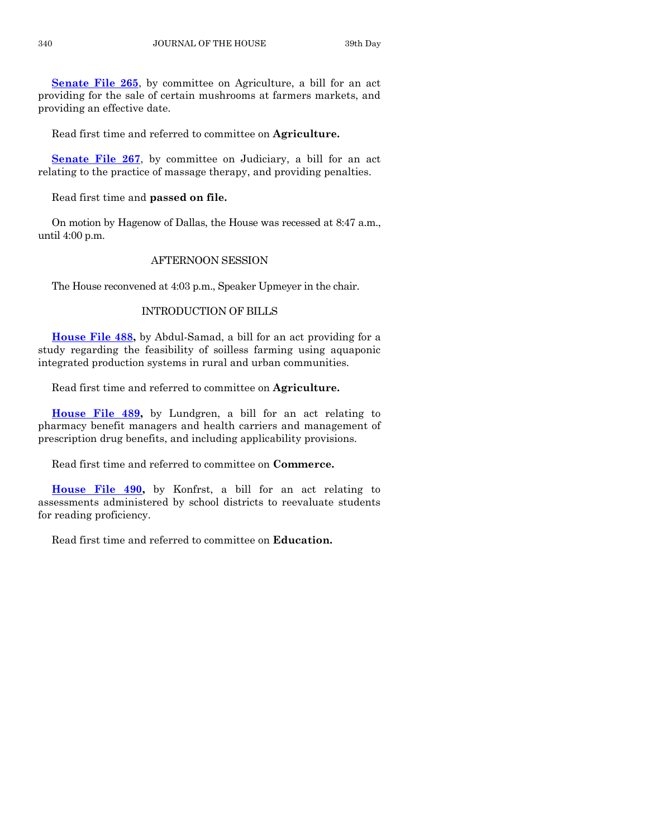**[Senate File 265](https://www.legis.iowa.gov/legislation/BillBook?ga=88&ba=SF265)**, by committee on Agriculture, a bill for an act providing for the sale of certain mushrooms at farmers markets, and providing an effective date.

Read first time and referred to committee on **Agriculture.**

**[Senate File 267](https://www.legis.iowa.gov/legislation/BillBook?ga=88&ba=SF267)**, by committee on Judiciary, a bill for an act relating to the practice of massage therapy, and providing penalties.

Read first time and **passed on file.**

On motion by Hagenow of Dallas, the House was recessed at 8:47 a.m., until 4:00 p.m.

# AFTERNOON SESSION

The House reconvened at 4:03 p.m., Speaker Upmeyer in the chair.

# INTRODUCTION OF BILLS

**[House File 488,](https://www.legis.iowa.gov/legislation/BillBook?ga=88&ba=HF488)** by Abdul-Samad, a bill for an act providing for a study regarding the feasibility of soilless farming using aquaponic integrated production systems in rural and urban communities.

Read first time and referred to committee on **Agriculture.**

**[House File 489,](https://www.legis.iowa.gov/legislation/BillBook?ga=88&ba=HF489)** by Lundgren, a bill for an act relating to pharmacy benefit managers and health carriers and management of prescription drug benefits, and including applicability provisions.

Read first time and referred to committee on **Commerce.**

**[House File 490,](https://www.legis.iowa.gov/legislation/BillBook?ga=88&ba=HF490)** by Konfrst, a bill for an act relating to assessments administered by school districts to reevaluate students for reading proficiency.

Read first time and referred to committee on **Education.**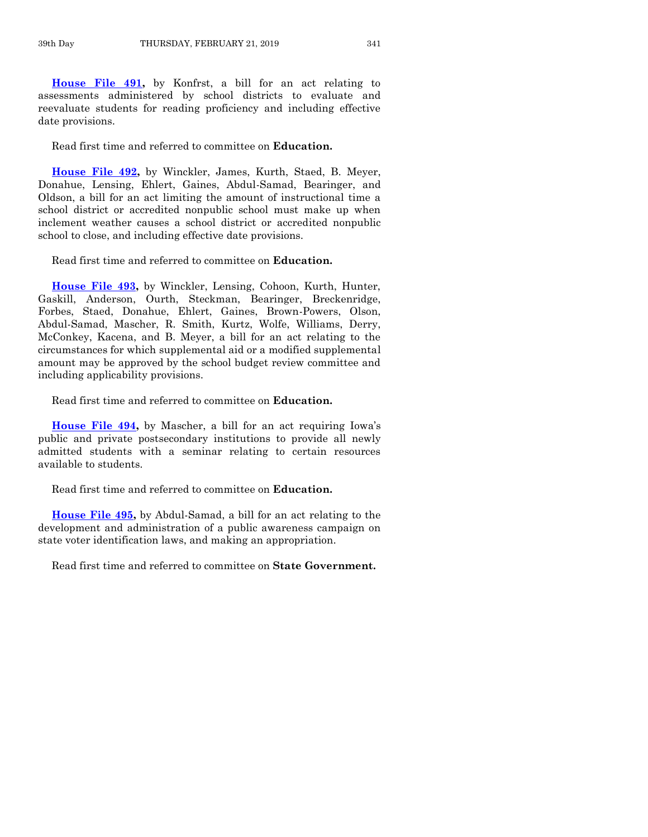**[House File 491,](https://www.legis.iowa.gov/legislation/BillBook?ga=88&ba=HF491)** by Konfrst, a bill for an act relating to assessments administered by school districts to evaluate and reevaluate students for reading proficiency and including effective date provisions.

Read first time and referred to committee on **Education.**

**[House File 492,](https://www.legis.iowa.gov/legislation/BillBook?ga=88&ba=HF492)** by Winckler, James, Kurth, Staed, B. Meyer, Donahue, Lensing, Ehlert, Gaines, Abdul-Samad, Bearinger, and Oldson, a bill for an act limiting the amount of instructional time a school district or accredited nonpublic school must make up when inclement weather causes a school district or accredited nonpublic school to close, and including effective date provisions.

Read first time and referred to committee on **Education.**

**[House File 493,](https://www.legis.iowa.gov/legislation/BillBook?ga=88&ba=HF493)** by Winckler, Lensing, Cohoon, Kurth, Hunter, Gaskill, Anderson, Ourth, Steckman, Bearinger, Breckenridge, Forbes, Staed, Donahue, Ehlert, Gaines, Brown-Powers, Olson, Abdul-Samad, Mascher, R. Smith, Kurtz, Wolfe, Williams, Derry, McConkey, Kacena, and B. Meyer, a bill for an act relating to the circumstances for which supplemental aid or a modified supplemental amount may be approved by the school budget review committee and including applicability provisions.

Read first time and referred to committee on **Education.**

**[House File 494,](https://www.legis.iowa.gov/legislation/BillBook?ga=88&ba=HF494)** by Mascher, a bill for an act requiring Iowa's public and private postsecondary institutions to provide all newly admitted students with a seminar relating to certain resources available to students.

Read first time and referred to committee on **Education.**

**[House File 495,](https://www.legis.iowa.gov/legislation/BillBook?ga=88&ba=HF495)** by Abdul-Samad, a bill for an act relating to the development and administration of a public awareness campaign on state voter identification laws, and making an appropriation.

Read first time and referred to committee on **State Government.**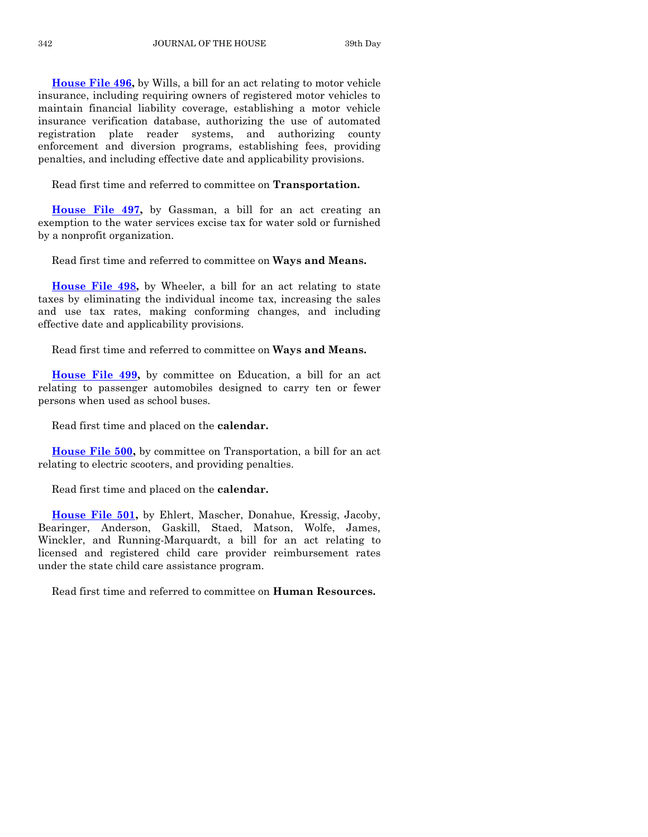**[House File 496,](https://www.legis.iowa.gov/legislation/BillBook?ga=88&ba=HF496)** by Wills, a bill for an act relating to motor vehicle insurance, including requiring owners of registered motor vehicles to maintain financial liability coverage, establishing a motor vehicle insurance verification database, authorizing the use of automated registration plate reader systems, and authorizing county enforcement and diversion programs, establishing fees, providing penalties, and including effective date and applicability provisions.

Read first time and referred to committee on **Transportation.**

**[House File 497,](https://www.legis.iowa.gov/legislation/BillBook?ga=88&ba=HF497)** by Gassman, a bill for an act creating an exemption to the water services excise tax for water sold or furnished by a nonprofit organization.

Read first time and referred to committee on **Ways and Means.**

**[House File 498,](https://www.legis.iowa.gov/legislation/BillBook?ga=88&ba=HF498)** by Wheeler, a bill for an act relating to state taxes by eliminating the individual income tax, increasing the sales and use tax rates, making conforming changes, and including effective date and applicability provisions.

Read first time and referred to committee on **Ways and Means.**

**[House File 499,](https://www.legis.iowa.gov/legislation/BillBook?ga=88&ba=HF499)** by committee on Education, a bill for an act relating to passenger automobiles designed to carry ten or fewer persons when used as school buses.

Read first time and placed on the **calendar.**

**[House File 500,](https://www.legis.iowa.gov/legislation/BillBook?ga=88&ba=HF500)** by committee on Transportation, a bill for an act relating to electric scooters, and providing penalties.

Read first time and placed on the **calendar.**

**[House File 501,](https://www.legis.iowa.gov/legislation/BillBook?ga=88&ba=HF501)** by Ehlert, Mascher, Donahue, Kressig, Jacoby, Bearinger, Anderson, Gaskill, Staed, Matson, Wolfe, James, Winckler, and Running-Marquardt, a bill for an act relating to licensed and registered child care provider reimbursement rates under the state child care assistance program.

Read first time and referred to committee on **Human Resources.**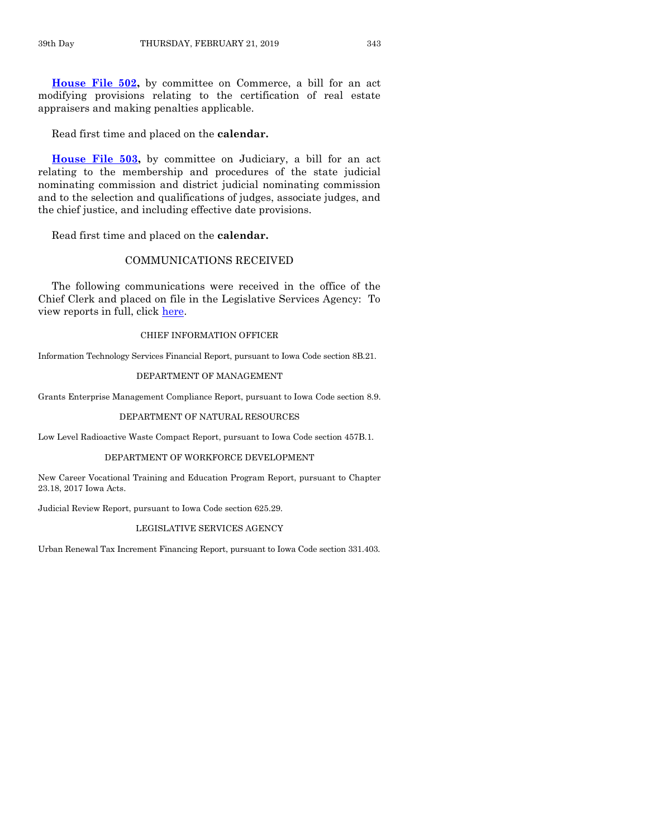**[House File 502,](https://www.legis.iowa.gov/legislation/BillBook?ga=88&ba=HF502)** by committee on Commerce, a bill for an act modifying provisions relating to the certification of real estate appraisers and making penalties applicable.

Read first time and placed on the **calendar.**

**[House File 503,](https://www.legis.iowa.gov/legislation/BillBook?ga=88&ba=HF503)** by committee on Judiciary, a bill for an act relating to the membership and procedures of the state judicial nominating commission and district judicial nominating commission and to the selection and qualifications of judges, associate judges, and the chief justice, and including effective date provisions.

Read first time and placed on the **calendar.**

# COMMUNICATIONS RECEIVED

The following communications were received in the office of the Chief Clerk and placed on file in the Legislative Services Agency: To view reports in full, click [here.](https://www.legis.iowa.gov/publications/otherResources/reportsFiled)

#### CHIEF INFORMATION OFFICER

Information Technology Services Financial Report, pursuant to Iowa Code section 8B.21.

#### DEPARTMENT OF MANAGEMENT

Grants Enterprise Management Compliance Report, pursuant to Iowa Code section 8.9.

#### DEPARTMENT OF NATURAL RESOURCES

Low Level Radioactive Waste Compact Report, pursuant to Iowa Code section 457B.1.

#### DEPARTMENT OF WORKFORCE DEVELOPMENT

New Career Vocational Training and Education Program Report, pursuant to Chapter 23.18, 2017 Iowa Acts.

Judicial Review Report, pursuant to Iowa Code section 625.29.

#### LEGISLATIVE SERVICES AGENCY

Urban Renewal Tax Increment Financing Report, pursuant to Iowa Code section 331.403.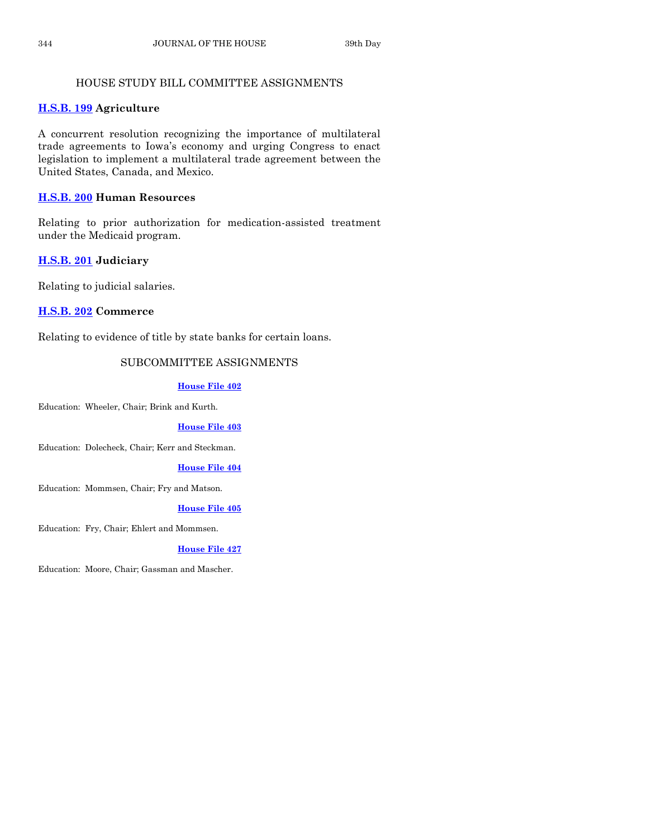# HOUSE STUDY BILL COMMITTEE ASSIGNMENTS

# **[H.S.B. 199](https://www.legis.iowa.gov/legislation/BillBook?ga=88&ba=HSB199) Agriculture**

A concurrent resolution recognizing the importance of multilateral trade agreements to Iowa's economy and urging Congress to enact legislation to implement a multilateral trade agreement between the United States, Canada, and Mexico.

# **[H.S.B. 200](https://www.legis.iowa.gov/legislation/BillBook?ga=88&ba=HSB200) Human Resources**

Relating to prior authorization for medication-assisted treatment under the Medicaid program.

# **[H.S.B. 201](https://www.legis.iowa.gov/legislation/BillBook?ga=88&ba=HSB201) Judiciary**

Relating to judicial salaries.

# **[H.S.B. 202](https://www.legis.iowa.gov/legislation/BillBook?ga=88&ba=HSB202) Commerce**

Relating to evidence of title by state banks for certain loans.

# SUBCOMMITTEE ASSIGNMENTS

# **[House File 402](https://www.legis.iowa.gov/legislation/BillBook?ga=88&ba=HF402)**

Education: Wheeler, Chair; Brink and Kurth.

# **[House File 403](https://www.legis.iowa.gov/legislation/BillBook?ga=88&ba=HF403)**

Education: Dolecheck, Chair; Kerr and Steckman.

# **[House File 404](https://www.legis.iowa.gov/legislation/BillBook?ga=88&ba=HF404)**

Education: Mommsen, Chair; Fry and Matson.

### **[House File 405](https://www.legis.iowa.gov/legislation/BillBook?ga=88&ba=HF405)**

Education: Fry, Chair; Ehlert and Mommsen.

# **[House File 427](https://www.legis.iowa.gov/legislation/BillBook?ga=88&ba=HF427)**

Education: Moore, Chair; Gassman and Mascher.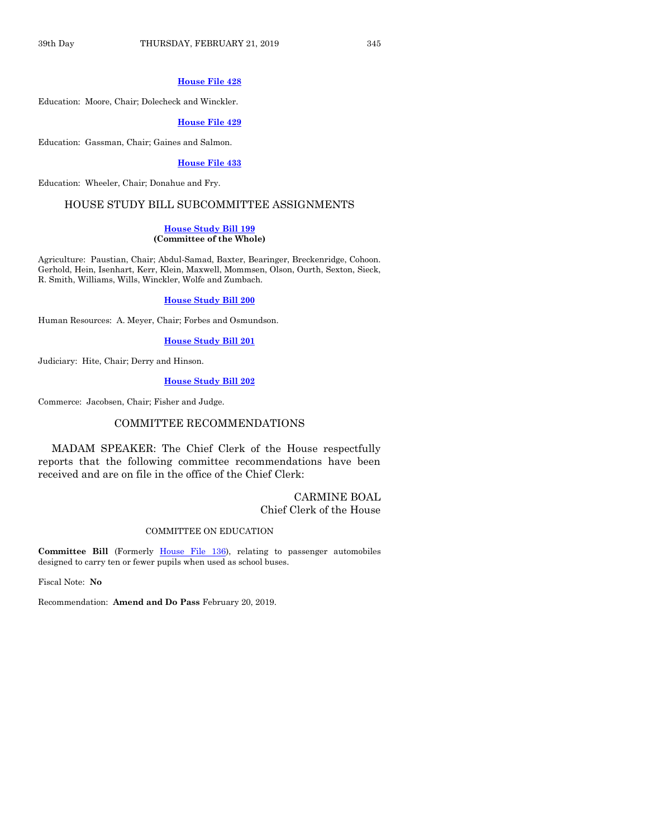#### **[House File 428](https://www.legis.iowa.gov/legislation/BillBook?ga=88&ba=HF428)**

Education: Moore, Chair; Dolecheck and Winckler.

#### **[House File 429](https://www.legis.iowa.gov/legislation/BillBook?ga=88&ba=HF429)**

Education: Gassman, Chair; Gaines and Salmon.

# **[House File 433](https://www.legis.iowa.gov/legislation/BillBook?ga=88&ba=HF433)**

Education: Wheeler, Chair; Donahue and Fry.

# HOUSE STUDY BILL SUBCOMMITTEE ASSIGNMENTS

#### **[House Study Bill](https://www.legis.iowa.gov/legislation/BillBook?ga=88&ba=HSB199) 199 (Committee of the Whole)**

Agriculture: Paustian, Chair; Abdul-Samad, Baxter, Bearinger, Breckenridge, Cohoon. Gerhold, Hein, Isenhart, Kerr, Klein, Maxwell, Mommsen, Olson, Ourth, Sexton, Sieck, R. Smith, Williams, Wills, Winckler, Wolfe and Zumbach.

#### **[House Study Bill 200](https://www.legis.iowa.gov/legislation/BillBook?ga=88&ba=HSB200)**

Human Resources: A. Meyer, Chair; Forbes and Osmundson.

**[House Study Bill 201](https://www.legis.iowa.gov/legislation/BillBook?ga=88&ba=HSB201)**

Judiciary: Hite, Chair; Derry and Hinson.

#### **[House Study Bill 202](https://www.legis.iowa.gov/legislation/BillBook?ga=88&ba=HSB202)**

Commerce: Jacobsen, Chair; Fisher and Judge.

# COMMITTEE RECOMMENDATIONS

MADAM SPEAKER: The Chief Clerk of the House respectfully reports that the following committee recommendations have been received and are on file in the office of the Chief Clerk:

## CARMINE BOAL Chief Clerk of the House

#### COMMITTEE ON EDUCATION

**Committee Bill** (Formerly [House File 136\)](https://www.legis.iowa.gov/legislation/BillBook?ga=88&ba=HF136), relating to passenger automobiles designed to carry ten or fewer pupils when used as school buses.

Fiscal Note: **No**

Recommendation: **Amend and Do Pass** February 20, 2019.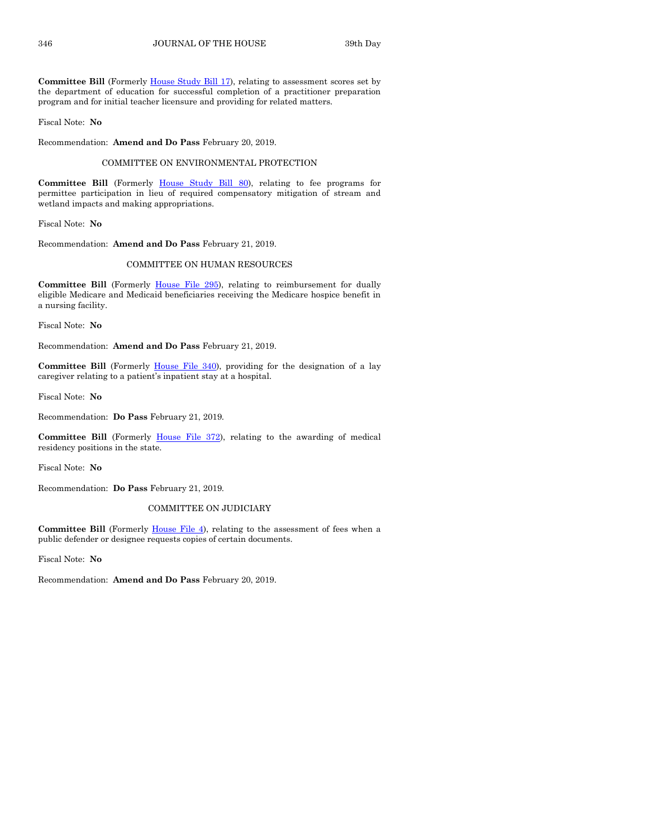Committee Bill (Formerly **House Study Bill 17)**, relating to assessment scores set by the department of education for successful completion of a practitioner preparation program and for initial teacher licensure and providing for related matters.

Fiscal Note: **No**

Recommendation: **Amend and Do Pass** February 20, 2019.

#### COMMITTEE ON ENVIRONMENTAL PROTECTION

**Committee Bill** (Formerly [House Study Bill 80\)](https://www.legis.iowa.gov/legislation/BillBook?ga=88&ba=HSB80), relating to fee programs for permittee participation in lieu of required compensatory mitigation of stream and wetland impacts and making appropriations.

Fiscal Note: **No**

Recommendation: **Amend and Do Pass** February 21, 2019.

#### COMMITTEE ON HUMAN RESOURCES

Committee Bill (Formerly [House File 295\)](https://www.legis.iowa.gov/legislation/BillBook?ga=88&ba=HF295), relating to reimbursement for dually eligible Medicare and Medicaid beneficiaries receiving the Medicare hospice benefit in a nursing facility.

Fiscal Note: **No**

Recommendation: **Amend and Do Pass** February 21, 2019.

Committee Bill (Formerly [House File 340\)](https://www.legis.iowa.gov/legislation/BillBook?ga=88&ba=HF340), providing for the designation of a lay caregiver relating to a patient's inpatient stay at a hospital.

Fiscal Note: **No**

Recommendation: **Do Pass** February 21, 2019.

**Committee Bill** (Formerly [House File 372\)](https://www.legis.iowa.gov/legislation/BillBook?ga=88&ba=HF372), relating to the awarding of medical residency positions in the state.

Fiscal Note: **No**

Recommendation: **Do Pass** February 21, 2019.

#### COMMITTEE ON JUDICIARY

Committee Bill (Formerly *House File 4*), relating to the assessment of fees when a public defender or designee requests copies of certain documents.

Fiscal Note: **No**

Recommendation: **Amend and Do Pass** February 20, 2019.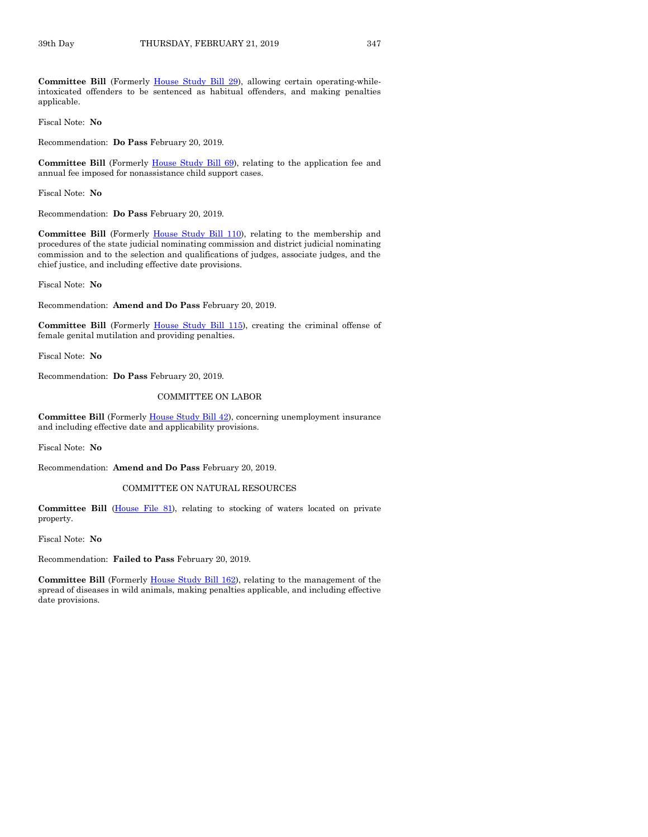**Committee Bill** (Formerly [House Study Bill 29\)](https://www.legis.iowa.gov/legislation/BillBook?ga=88&ba=HSB29), allowing certain operating-whileintoxicated offenders to be sentenced as habitual offenders, and making penalties applicable.

Fiscal Note: **No**

Recommendation: **Do Pass** February 20, 2019.

**Committee Bill** (Formerly [House Study Bill 69\)](https://www.legis.iowa.gov/legislation/BillBook?ga=88&ba=HSB69), relating to the application fee and annual fee imposed for nonassistance child support cases.

Fiscal Note: **No**

Recommendation: **Do Pass** February 20, 2019.

**Committee Bill** (Formerly [House Study Bill 110\)](https://www.legis.iowa.gov/legislation/BillBook?ga=88&ba=HSB110), relating to the membership and procedures of the state judicial nominating commission and district judicial nominating commission and to the selection and qualifications of judges, associate judges, and the chief justice, and including effective date provisions.

Fiscal Note: **No**

Recommendation: **Amend and Do Pass** February 20, 2019.

**Committee Bill** (Formerly [House Study Bill 115\)](https://www.legis.iowa.gov/legislation/BillBook?ga=88&ba=HSB115), creating the criminal offense of female genital mutilation and providing penalties.

Fiscal Note: **No**

Recommendation: **Do Pass** February 20, 2019.

#### COMMITTEE ON LABOR

Committee Bill (Formerly [House Study Bill 42\)](https://www.legis.iowa.gov/legislation/BillBook?ga=88&ba=HSB42), concerning unemployment insurance and including effective date and applicability provisions.

Fiscal Note: **No**

Recommendation: **Amend and Do Pass** February 20, 2019.

#### COMMITTEE ON NATURAL RESOURCES

**Committee Bill** [\(House File 81\)](https://www.legis.iowa.gov/legislation/BillBook?ga=88&ba=HF81), relating to stocking of waters located on private property.

Fiscal Note: **No**

Recommendation: **Failed to Pass** February 20, 2019.

**Committee Bill** (Formerly [House Study Bill 162\)](https://www.legis.iowa.gov/legislation/BillBook?ga=88&ba=HSB162), relating to the management of the spread of diseases in wild animals, making penalties applicable, and including effective date provisions.